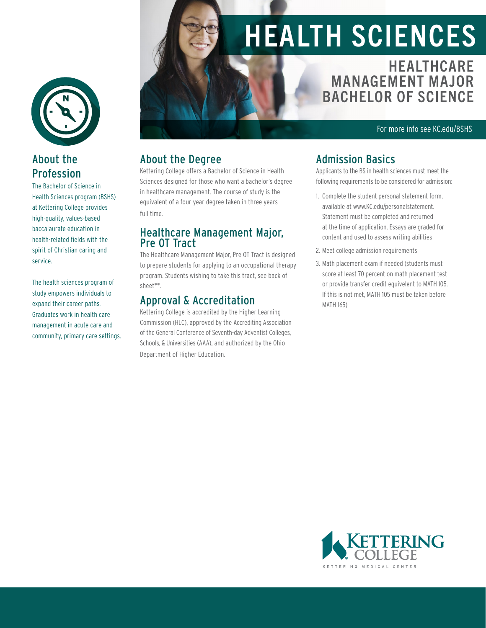

#### About the Profession

The Bachelor of Science in Health Sciences program (BSHS) at Kettering College provides high-quality, values-based baccalaurate education in health-related fields with the spirit of Christian caring and service.

The health sciences program of study empowers individuals to expand their career paths. Graduates work in health care management in acute care and community, primary care settings.

# HEALTH SCIENCES

**HEALTHCARE** MANAGEMENT MAJOR BACHELOR OF SCIENCE

For more info see KC.edu/BSHS

#### About the Degree

Kettering College offers a Bachelor of Science in Health Sciences designed for those who want a bachelor's degree in healthcare management. The course of study is the equivalent of a four year degree taken in three years full time.

#### Healthcare Management Major, Pre OT Tract

The Healthcare Management Major, Pre OT Tract is designed to prepare students for applying to an occupational therapy program. Students wishing to take this tract, see back of sheet\*\*.

#### Approval & Accreditation

Kettering College is accredited by the Higher Learning Commission (HLC), approved by the Accrediting Association of the General Conference of Seventh-day Adventist Colleges, Schools, & Universities (AAA), and authorized by the Ohio Department of Higher Education.

#### Admission Basics

Applicants to the BS in health sciences must meet the following requirements to be considered for admission:

- 1. Complete the student personal statement form, available at www.KC.edu/personalstatement. Statement must be completed and returned at the time of application. Essays are graded for content and used to assess writing abilities
- 2. Meet college admission requirements
- 3. Math placement exam if needed (students must score at least 70 percent on math placement test or provide transfer credit equivelent to MATH 105. If this is not met, MATH 105 must be taken before MATH 165)